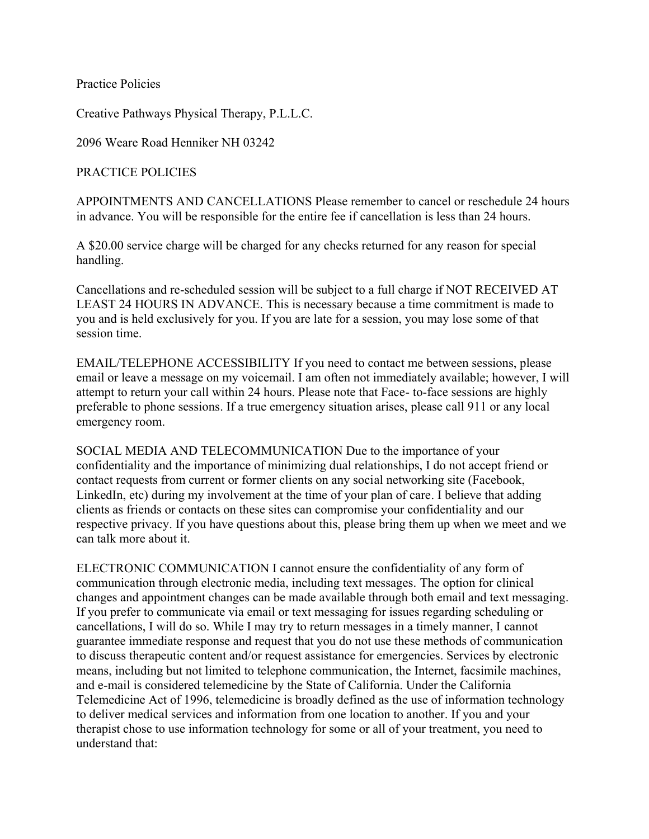Practice Policies

Creative Pathways Physical Therapy, P.L.L.C.

2096 Weare Road Henniker NH 03242

PRACTICE POLICIES

APPOINTMENTS AND CANCELLATIONS Please remember to cancel or reschedule 24 hours in advance. You will be responsible for the entire fee if cancellation is less than 24 hours.

A \$20.00 service charge will be charged for any checks returned for any reason for special handling.

Cancellations and re-scheduled session will be subject to a full charge if NOT RECEIVED AT LEAST 24 HOURS IN ADVANCE. This is necessary because a time commitment is made to you and is held exclusively for you. If you are late for a session, you may lose some of that session time.

EMAIL/TELEPHONE ACCESSIBILITY If you need to contact me between sessions, please email or leave a message on my voicemail. I am often not immediately available; however, I will attempt to return your call within 24 hours. Please note that Face- to-face sessions are highly preferable to phone sessions. If a true emergency situation arises, please call 911 or any local emergency room.

SOCIAL MEDIA AND TELECOMMUNICATION Due to the importance of your confidentiality and the importance of minimizing dual relationships, I do not accept friend or contact requests from current or former clients on any social networking site (Facebook, LinkedIn, etc) during my involvement at the time of your plan of care. I believe that adding clients as friends or contacts on these sites can compromise your confidentiality and our respective privacy. If you have questions about this, please bring them up when we meet and we can talk more about it.

ELECTRONIC COMMUNICATION I cannot ensure the confidentiality of any form of communication through electronic media, including text messages. The option for clinical changes and appointment changes can be made available through both email and text messaging. If you prefer to communicate via email or text messaging for issues regarding scheduling or cancellations, I will do so. While I may try to return messages in a timely manner, I cannot guarantee immediate response and request that you do not use these methods of communication to discuss therapeutic content and/or request assistance for emergencies. Services by electronic means, including but not limited to telephone communication, the Internet, facsimile machines, and e-mail is considered telemedicine by the State of California. Under the California Telemedicine Act of 1996, telemedicine is broadly defined as the use of information technology to deliver medical services and information from one location to another. If you and your therapist chose to use information technology for some or all of your treatment, you need to understand that: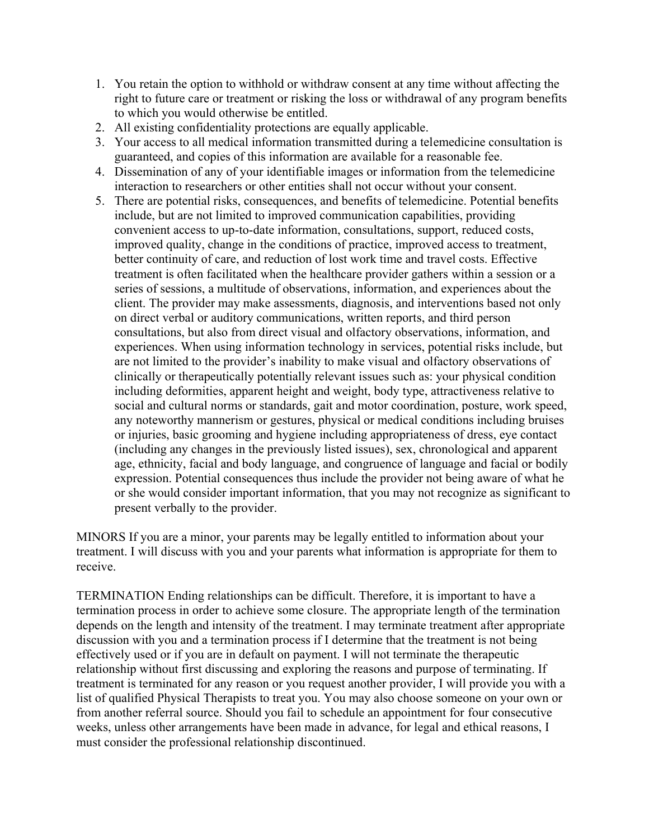- 1. You retain the option to withhold or withdraw consent at any time without affecting the right to future care or treatment or risking the loss or withdrawal of any program benefits to which you would otherwise be entitled.
- 2. All existing confidentiality protections are equally applicable.
- 3. Your access to all medical information transmitted during a telemedicine consultation is guaranteed, and copies of this information are available for a reasonable fee.
- 4. Dissemination of any of your identifiable images or information from the telemedicine interaction to researchers or other entities shall not occur without your consent.
- 5. There are potential risks, consequences, and benefits of telemedicine. Potential benefits include, but are not limited to improved communication capabilities, providing convenient access to up-to-date information, consultations, support, reduced costs, improved quality, change in the conditions of practice, improved access to treatment, better continuity of care, and reduction of lost work time and travel costs. Effective treatment is often facilitated when the healthcare provider gathers within a session or a series of sessions, a multitude of observations, information, and experiences about the client. The provider may make assessments, diagnosis, and interventions based not only on direct verbal or auditory communications, written reports, and third person consultations, but also from direct visual and olfactory observations, information, and experiences. When using information technology in services, potential risks include, but are not limited to the provider's inability to make visual and olfactory observations of clinically or therapeutically potentially relevant issues such as: your physical condition including deformities, apparent height and weight, body type, attractiveness relative to social and cultural norms or standards, gait and motor coordination, posture, work speed, any noteworthy mannerism or gestures, physical or medical conditions including bruises or injuries, basic grooming and hygiene including appropriateness of dress, eye contact (including any changes in the previously listed issues), sex, chronological and apparent age, ethnicity, facial and body language, and congruence of language and facial or bodily expression. Potential consequences thus include the provider not being aware of what he or she would consider important information, that you may not recognize as significant to present verbally to the provider.

MINORS If you are a minor, your parents may be legally entitled to information about your treatment. I will discuss with you and your parents what information is appropriate for them to receive.

TERMINATION Ending relationships can be difficult. Therefore, it is important to have a termination process in order to achieve some closure. The appropriate length of the termination depends on the length and intensity of the treatment. I may terminate treatment after appropriate discussion with you and a termination process if I determine that the treatment is not being effectively used or if you are in default on payment. I will not terminate the therapeutic relationship without first discussing and exploring the reasons and purpose of terminating. If treatment is terminated for any reason or you request another provider, I will provide you with a list of qualified Physical Therapists to treat you. You may also choose someone on your own or from another referral source. Should you fail to schedule an appointment for four consecutive weeks, unless other arrangements have been made in advance, for legal and ethical reasons, I must consider the professional relationship discontinued.